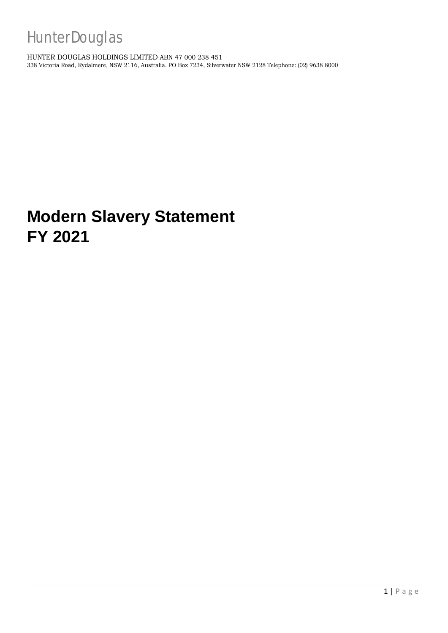HUNTER DOUGLAS HOLDINGS LIMITED ABN 47 000 238 451 338 Victoria Road, Rydalmere, NSW 2116, Australia. PO Box 7234, Silverwater NSW 2128 Telephone: (02) 9638 8000

# **Modern Slavery Statement FY 2021**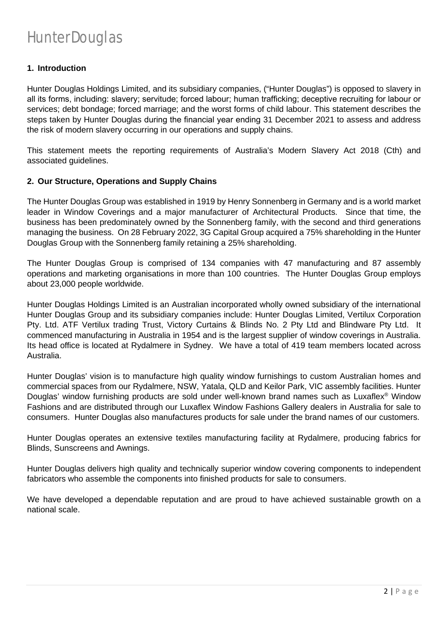#### **1. Introduction**

Hunter Douglas Holdings Limited, and its subsidiary companies, ("Hunter Douglas") is opposed to slavery in all its forms, including: slavery; servitude; forced labour; human trafficking; deceptive recruiting for labour or services; debt bondage; forced marriage; and the worst forms of child labour. This statement describes the steps taken by Hunter Douglas during the financial year ending 31 December 2021 to assess and address the risk of modern slavery occurring in our operations and supply chains.

This statement meets the reporting requirements of Australia's Modern Slavery Act 2018 (Cth) and associated guidelines.

#### **2. Our Structure, Operations and Supply Chains**

The Hunter Douglas Group was established in 1919 by Henry Sonnenberg in Germany and is a world market leader in Window Coverings and a major manufacturer of Architectural Products. Since that time, the business has been predominately owned by the Sonnenberg family, with the second and third generations managing the business. On 28 February 2022, 3G Capital Group acquired a 75% shareholding in the Hunter Douglas Group with the Sonnenberg family retaining a 25% shareholding.

The Hunter Douglas Group is comprised of 134 companies with 47 manufacturing and 87 assembly operations and marketing organisations in more than 100 countries. The Hunter Douglas Group employs about 23,000 people worldwide.

Hunter Douglas Holdings Limited is an Australian incorporated wholly owned subsidiary of the international Hunter Douglas Group and its subsidiary companies include: Hunter Douglas Limited, Vertilux Corporation Pty. Ltd. ATF Vertilux trading Trust, Victory Curtains & Blinds No. 2 Pty Ltd and Blindware Pty Ltd. It commenced manufacturing in Australia in 1954 and is the largest supplier of window coverings in Australia. Its head office is located at Rydalmere in Sydney. We have a total of 419 team members located across Australia.

Hunter Douglas' vision is to manufacture high quality window furnishings to custom Australian homes and commercial spaces from our Rydalmere, NSW, Yatala, QLD and Keilor Park, VIC assembly facilities. Hunter Douglas' window furnishing products are sold under well-known brand names such as Luxaflex® Window Fashions and are distributed through our Luxaflex Window Fashions Gallery dealers in Australia for sale to consumers. Hunter Douglas also manufactures products for sale under the brand names of our customers.

Hunter Douglas operates an extensive textiles manufacturing facility at Rydalmere, producing fabrics for Blinds, Sunscreens and Awnings.

Hunter Douglas delivers high quality and technically superior window covering components to independent fabricators who assemble the components into finished products for sale to consumers.

We have developed a dependable reputation and are proud to have achieved sustainable growth on a national scale.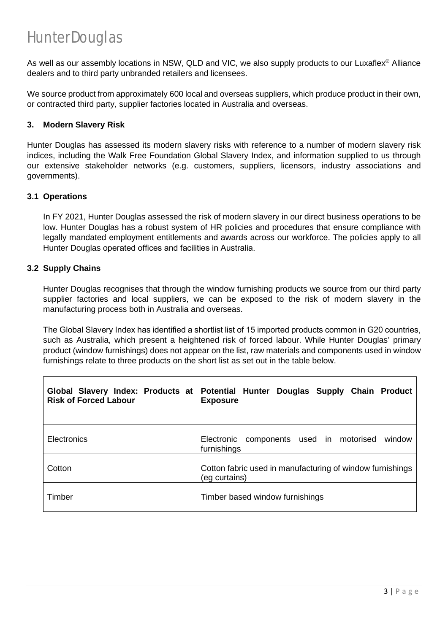As well as our assembly locations in NSW, QLD and VIC, we also supply products to our Luxaflex® Alliance dealers and to third party unbranded retailers and licensees.

We source product from approximately 600 local and overseas suppliers, which produce product in their own, or contracted third party, supplier factories located in Australia and overseas.

#### **3. Modern Slavery Risk**

Hunter Douglas has assessed its modern slavery risks with reference to a number of modern slavery risk indices, including the Walk Free Foundation Global Slavery Index, and information supplied to us through our extensive stakeholder networks (e.g. customers, suppliers, licensors, industry associations and governments).

#### **3.1 Operations**

In FY 2021, Hunter Douglas assessed the risk of modern slavery in our direct business operations to be low. Hunter Douglas has a robust system of HR policies and procedures that ensure compliance with legally mandated employment entitlements and awards across our workforce. The policies apply to all Hunter Douglas operated offices and facilities in Australia.

#### **3.2 Supply Chains**

Hunter Douglas recognises that through the window furnishing products we source from our third party supplier factories and local suppliers, we can be exposed to the risk of modern slavery in the manufacturing process both in Australia and overseas.

The Global Slavery Index has identified a shortlist list of 15 imported products common in G20 countries, such as Australia, which present a heightened risk of forced labour. While Hunter Douglas' primary product (window furnishings) does not appear on the list, raw materials and components used in window furnishings relate to three products on the short list as set out in the table below.

| Global Slavery Index: Products at<br><b>Risk of Forced Labour</b> | Potential Hunter Douglas Supply Chain Product<br><b>Exposure</b>           |
|-------------------------------------------------------------------|----------------------------------------------------------------------------|
|                                                                   |                                                                            |
| <b>Electronics</b>                                                | Electronic components used in motorised<br>window<br>furnishings           |
| Cotton                                                            | Cotton fabric used in manufacturing of window furnishings<br>(eg curtains) |
| Timber                                                            | Timber based window furnishings                                            |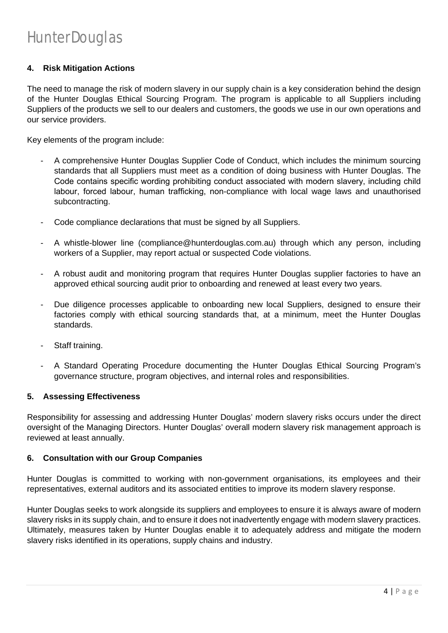#### **4. Risk Mitigation Actions**

The need to manage the risk of modern slavery in our supply chain is a key consideration behind the design of the Hunter Douglas Ethical Sourcing Program. The program is applicable to all Suppliers including Suppliers of the products we sell to our dealers and customers, the goods we use in our own operations and our service providers.

Key elements of the program include:

- A comprehensive Hunter Douglas Supplier Code of Conduct, which includes the minimum sourcing standards that all Suppliers must meet as a condition of doing business with Hunter Douglas. The Code contains specific wording prohibiting conduct associated with modern slavery, including child labour, forced labour, human trafficking, non-compliance with local wage laws and unauthorised subcontracting.
- Code compliance declarations that must be signed by all Suppliers.
- A whistle-blower line (compliance@hunterdouglas.com.au) through which any person, including workers of a Supplier, may report actual or suspected Code violations.
- A robust audit and monitoring program that requires Hunter Douglas supplier factories to have an approved ethical sourcing audit prior to onboarding and renewed at least every two years.
- Due diligence processes applicable to onboarding new local Suppliers, designed to ensure their factories comply with ethical sourcing standards that, at a minimum, meet the Hunter Douglas standards.
- Staff training.
- A Standard Operating Procedure documenting the Hunter Douglas Ethical Sourcing Program's governance structure, program objectives, and internal roles and responsibilities.

#### **5. Assessing Effectiveness**

Responsibility for assessing and addressing Hunter Douglas' modern slavery risks occurs under the direct oversight of the Managing Directors. Hunter Douglas' overall modern slavery risk management approach is reviewed at least annually.

#### **6. Consultation with our Group Companies**

Hunter Douglas is committed to working with non-government organisations, its employees and their representatives, external auditors and its associated entities to improve its modern slavery response.

Hunter Douglas seeks to work alongside its suppliers and employees to ensure it is always aware of modern slavery risks in its supply chain, and to ensure it does not inadvertently engage with modern slavery practices. Ultimately, measures taken by Hunter Douglas enable it to adequately address and mitigate the modern slavery risks identified in its operations, supply chains and industry.